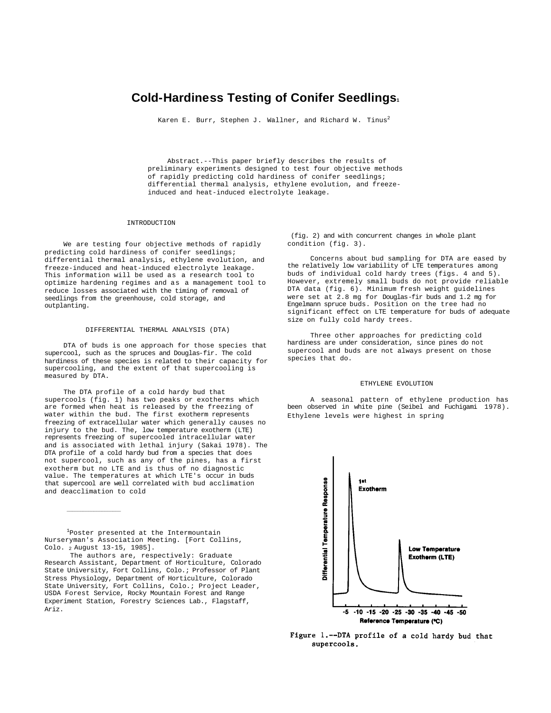# **Cold-Hardiness Testing of Conifer Seedlings<sup>1</sup>**

Karen E. Burr, Stephen J. Wallner, and Richard W. Tinus<sup>2</sup>

Abstract.--This paper briefly describes the results of preliminary experiments designed to test four objective methods of rapidly predicting cold hardiness of conifer seedlings; differential thermal analysis, ethylene evolution, and freezeinduced and heat-induced electrolyte leakage.

# INTRODUCTION

We are testing four objective methods of rapidly predicting cold hardiness of conifer seedlings; differential thermal analysis, ethylene evolution, and freeze-induced and heat-induced electrolyte leakage. This information will be used as a research tool to optimize hardening regimes and as a management tool to reduce losses associated with the timing of removal of seedlings from the greenhouse, cold storage, and outplanting.

## DIFFERENTIAL THERMAL ANALYSIS (DTA)

DTA of buds is one approach for those species that supercool, such as the spruces and Douglas-fir. The cold hardiness of these species is related to their capacity for supercooling, and the extent of that supercooling is measured by DTA.

The DTA profile of a cold hardy bud that supercools (fig. 1) has two peaks or exotherms which are formed when heat is released by the freezing of water within the bud. The first exotherm represents freezing of extracellular water which generally causes no injury to the bud. The, low temperature exotherm (LTE) represents freezing of supercooled intracellular water and is associated with lethal injury (Sakai 1978). The DTA profile of a cold hardy bud from a species that does not supercool, such as any of the pines, has a first exotherm but no LTE and is thus of no diagnostic value. The temperatures at which LTE's occur in buds that supercool are well correlated with bud acclimation and deacclimation to cold

<sup>1</sup>Poster presented at the Intermountain Nurseryman's Association Meeting. [Fort Collins, Colo. 2 August 13-15, 1985].

 $\_$ 

The authors are, respectively: Graduate Research Assistant, Department of Horticulture, Colorado State University, Fort Collins, Colo.; Professor of Plant Stress Physiology, Department of Horticulture, Colorado State University, Fort Collins, Colo.; Project Leader, USDA Forest Service, Rocky Mountain Forest and Range Experiment Station, Forestry Sciences Lab., Flagstaff, Ariz.

(fig. 2) and with concurrent changes in whole plant condition (fig. 3).

Concerns about bud sampling for DTA are eased by the relatively low variability of LTE temperatures among buds of individual cold hardy trees (figs. 4 and 5). However, extremely small buds do not provide reliable DTA data (fig. 6). Minimum fresh weight guidelines were set at 2.8 mg for Douglas-fir buds and 1.2 mg for Engelmann spruce buds. Position on the tree had no significant effect on LTE temperature for buds of adequate size on fully cold hardy trees.

Three other approaches for predicting cold hardiness are under consideration, since pines do not supercool and buds are not always present on those species that do.

# ETHYLENE EVOLUTION

A seasonal pattern of ethylene production has been observed in white pine (Seibel and Fuchigami 1978). Ethylene levels were highest in spring



Figure 1.--DTA profile of a cold hardy bud that supercools.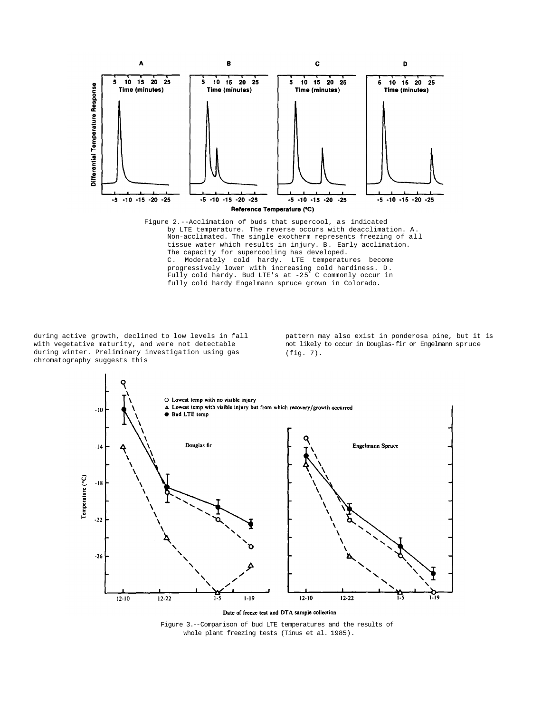

Figure 2.--Acclimation of buds that supercool, as indicated by LTE temperature. The reverse occurs with deacclimation. A. Non-acclimated. The single exotherm represents freezing of all tissue water which results in injury. B. Early acclimation. The capacity for supercooling has developed. C. Moderately cold hardy. LTE temperatures become progressively lower with increasing cold hardiness. D. Fully cold hardy. Bud LTE's at -25° C commonly occur in fully cold hardy Engelmann spruce grown in Colorado.

during active growth, declined to low levels in fall with vegetative maturity, and were not detectable during winter. Preliminary investigation using gas chromatography suggests this

pattern may also exist in ponderosa pine, but it is not likely to occur in Douglas-fir or Engelmann spruce (fig. 7).



Date of freeze test and DTA sample collection

Figure 3.--Comparison of bud LTE temperatures and the results of whole plant freezing tests (Tinus et al. 1985).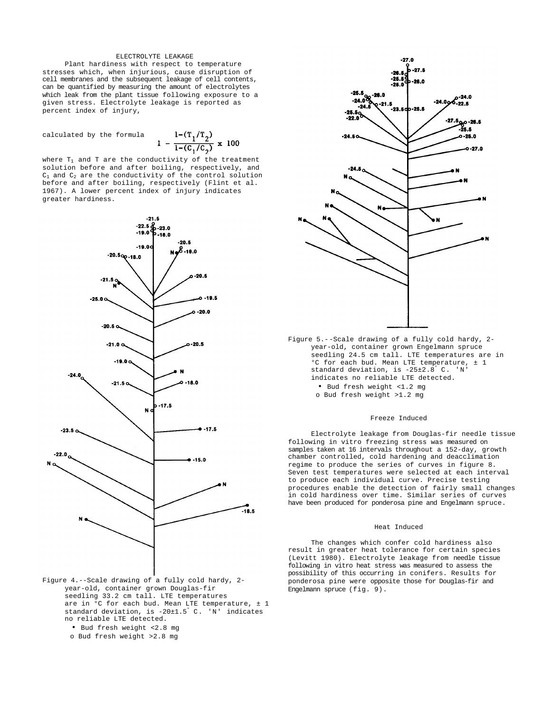## ELECTROLYTE LEAKAGE

Plant hardiness with respect to temperature stresses which, when injurious, cause disruption of cell membranes and the subsequent leakage of cell contents, can be quantified by measuring the amount of electrolytes which leak from the plant tissue following exposure to a given stress. Electrolyte leakage is reported as percent index of injury,

calculated by the formula

$$
1 - \frac{1 - (T_1/T_2)}{1 - (C_1/C_2)} \times 100
$$

where  $T_1$  and T are the conductivity of the treatment solution before and after boiling, respectively, and  $C_1$  and  $C_2$  are the conductivity of the control solution before and after boiling, respectively (Flint et al. 1967). A lower percent index of injury indicates greater hardiness.



- Figure 4.--Scale drawing of a fully cold hardy, 2 year-old, container grown Douglas-fir seedling 33.2 cm tall. LTE temperatures are in °C for each bud. Mean LTE temperature, ± 1 standard deviation, is -20±1.5° C. 'N' indicates no reliable LTE detected.
	- Bud fresh weight <2.8 mg
	- o Bud fresh weight >2.8 mg



Figure 5.--Scale drawing of a fully cold hardy, 2 year-old, container grown Engelmann spruce seedling 24.5 cm tall. LTE temperatures are in °C for each bud. Mean LTE temperature, ± 1 standard deviation, is -25±2.8° C. 'N' indicates no reliable LTE detected. • Bud fresh weight <1.2 mg o Bud fresh weight >1.2 mg

### Freeze Induced

Electrolyte leakage from Douglas-fir needle tissue following in vitro freezing stress was measured on samples taken at 16 intervals throughout a 152-day, growth chamber controlled, cold hardening and deacclimation regime to produce the series of curves in figure 8. Seven test temperatures were selected at each interval to produce each individual curve. Precise testing procedures enable the detection of fairly small changes in cold hardiness over time. Similar series of curves have been produced for ponderosa pine and Engelmann spruce.

#### Heat Induced

The changes which confer cold hardiness also result in greater heat tolerance for certain species (Levitt 1980). Electrolyte leakage from needle tissue following in vitro heat stress was measured to assess the possibility of this occurring in conifers. Results for ponderosa pine were opposite those for Douglas-fir and Engelmann spruce (fig. 9).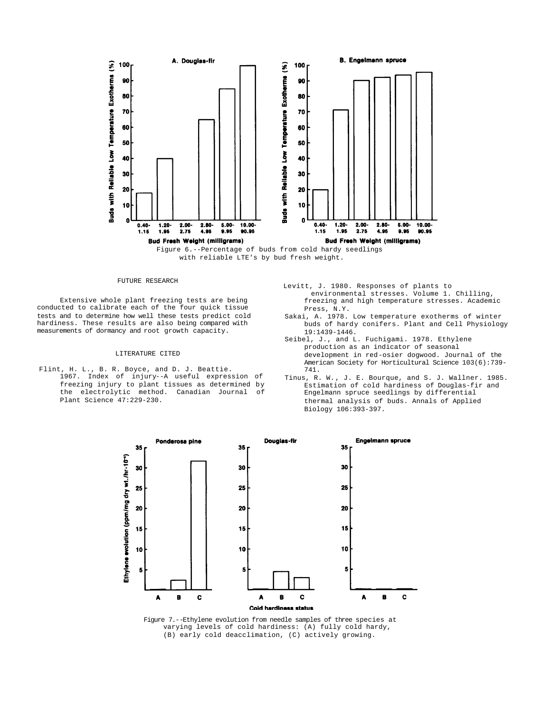



# FUTURE RESEARCH

Extensive whole plant freezing tests are being conducted to calibrate each of the four quick tissue tests and to determine how well these tests predict cold hardiness. These results are also being compared with measurements of dormancy and root growth capacity.

### LITERATURE CITED

- Flint, H. L., B. R. Boyce, and D. J. Beattie. 1967. Index of injury--A useful expression of freezing injury to plant tissues as determined by the electrolytic method. Canadian Journal of Plant Science 47:229-230.
- Levitt, J. 1980. Responses of plants to environmental stresses. Volume 1. Chilling, freezing and high temperature stresses. Academic Press, N.Y.
- Sakai, A. 1978. Low temperature exotherms of winter buds of hardy conifers. Plant and Cell Physiology 19:1439-1446.
- Seibel, J., and L. Fuchigami. 1978. Ethylene production as an indicator of seasonal development in red-osier dogwood. Journal of the American Society for Horticultural Science 103(6):739- 741.
- Tinus, R. W., J. E. Bourque, and S. J. Wallner. 1985. Estimation of cold hardiness of Douglas-fir and Engelmann spruce seedlings by differential thermal analysis of buds. Annals of Applied Biology 106:393-397.